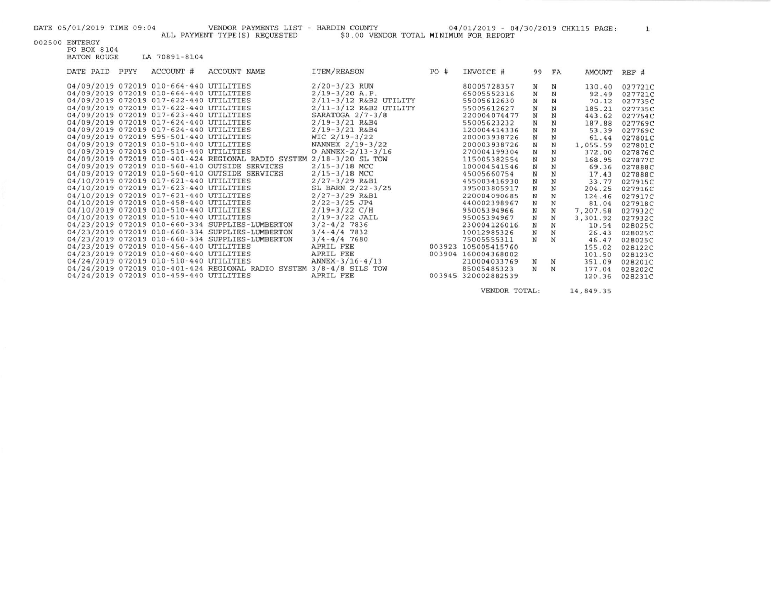DATE 05/01/2019 TIME 09:04 VENDOR PAYMENTS LIST - HARDIN COUNTY 04/01/2019 - 04/30/2019 CHK115 PAGE: 1

002500 ENTERGY

PO BOX 8104<br>BATON ROUGE LA 70891-8104

| DATE PAID | PPYY | ACCOUNT #                               | <b>ACCOUNT NAME</b>                                                  | ITEM/REASON              | PO# | INVOICE #           | 99           | FA          | AMOUNT   | REF #   |
|-----------|------|-----------------------------------------|----------------------------------------------------------------------|--------------------------|-----|---------------------|--------------|-------------|----------|---------|
|           |      | 04/09/2019 072019 010-664-440 UTILITIES |                                                                      | $2/20 - 3/23$ RUN        |     | 80005728357         | N            | N           | 130.40   | 027721C |
|           |      | 04/09/2019 072019 010-664-440 UTILITIES |                                                                      | $2/19-3/20$ A.P.         |     | 65005552316         | $\mathbb N$  | ${\bf N}$   | 92.49    | 027721C |
|           |      | 04/09/2019 072019 017-622-440 UTILITIES |                                                                      | $2/11-3/12$ R&B2 UTILITY |     | 55005612630         | ${\bf N}$    | N           | 70.12    | 027735C |
|           |      | 04/09/2019 072019 017-622-440 UTILITIES |                                                                      | $2/11-3/12$ R&B2 UTILITY |     | 55005612627         | $\mathbb N$  | N           | 185.21   | 027735C |
|           |      | 04/09/2019 072019 017-623-440 UTILITIES |                                                                      | SARATOGA $2/7 - 3/8$     |     | 220004074477        | $\, {\rm N}$ | N           | 443.62   | 027754C |
|           |      | 04/09/2019 072019 017-624-440 UTILITIES |                                                                      | $2/19 - 3/21$ R&B4       |     | 55005623232         | $\mathbb N$  | N           | 187.88   | 027769C |
|           |      | 04/09/2019 072019 017-624-440 UTILITIES |                                                                      | $2/19 - 3/21$ R&B4       |     | 120004414336        | $\mathbf N$  | $_{\rm N}$  | 53.39    | 027769C |
|           |      | 04/09/2019 072019 595-501-440 UTILITIES |                                                                      | $WIC$ 2/19-3/22          |     | 200003938726        | $_{\rm N}$   | N           | 61.44    | 027801C |
|           |      | 04/09/2019 072019 010-510-440 UTILITIES |                                                                      | NANNEX 2/19-3/22         |     | 200003938726        | $\, {\rm N}$ | $\mathbf N$ | 1,055.59 | 027801C |
|           |      | 04/09/2019 072019 010-510-440 UTILITIES |                                                                      | O ANNEX-2/13-3/16        |     | 270004199304        | $\mathbf N$  | $\mathbf N$ | 372.00   | 027876C |
|           |      |                                         | 04/09/2019 072019 010-401-424 REGIONAL RADIO SYSTEM                  | $2/18 - 3/20$ SL TOW     |     | 115005382554        | $\mathbf N$  | N           | 168.95   | 027877C |
|           |      |                                         | 04/09/2019 072019 010-560-410 OUTSIDE SERVICES                       | $2/15 - 3/18$ MCC        |     | 100004541546        | $\mathbf N$  | N           | 69.36    | 027888C |
|           |      |                                         | 04/09/2019 072019 010-560-410 OUTSIDE SERVICES                       | $2/15 - 3/18$ MCC        |     | 45005660754         | $\mathbf N$  | N           | 17.43    | 027888C |
|           |      | 04/10/2019 072019 017-621-440 UTILITIES |                                                                      | $2/27 - 3/29$ R&B1       |     | 455003416930        | $\mathbf N$  | N           | 33.77    | 027915C |
|           |      | 04/10/2019 072019 017-623-440 UTILITIES |                                                                      | SL BARN $2/22 - 3/25$    |     | 395003805917        | $\mathbf N$  | N           | 204.25   | 027916C |
|           |      | 04/10/2019 072019 017-621-440 UTILITIES |                                                                      | $2/27 - 3/29$ R&B1       |     | 220004090685        | $_{\rm N}$   | N           | 124.46   | 027917C |
|           |      | 04/10/2019 072019 010-458-440 UTILITIES |                                                                      | $2/22 - 3/25$ JP4        |     | 440002398967        | $\, {\bf N}$ | N           | 81.04    | 027918C |
|           |      | 04/10/2019 072019 010-510-440 UTILITIES |                                                                      | $2/19-3/22$ C/H          |     | 95005394966         | N            | N           | 7,207.58 | 027932C |
|           |      | 04/10/2019 072019 010-510-440 UTILITIES |                                                                      | $2/19 - 3/22$ JAIL       |     | 95005394967         | N            | N           | 3,301.92 | 027932C |
|           |      |                                         | 04/23/2019 072019 010-660-334 SUPPLIES-LUMBERTON                     | $3/2 - 4/2$ 7836         |     | 230004126016        | N            | N           | 10.54    | 028025C |
|           |      |                                         | 04/23/2019 072019 010-660-334 SUPPLIES-LUMBERTON                     | $3/4 - 4/4$ 7832         |     | 10012985326         | $\mathbf N$  | $\mathbf N$ | 26.43    | 028025C |
|           |      |                                         | 04/23/2019 072019 010-660-334 SUPPLIES-LUMBERTON                     | $3/4 - 4/4$ 7680         |     | 75005555311         | $_{\rm N}$   | N           | 46.47    | 028025C |
|           |      | 04/23/2019 072019 010-456-440 UTILITIES |                                                                      | APRIL FEE                |     | 003923 105005415760 |              |             | 155.02   | 028122C |
|           |      | 04/23/2019 072019 010-460-440 UTILITIES |                                                                      | APRIL FEE                |     | 003904 160004368002 |              |             | 101.50   | 028123C |
|           |      | 04/24/2019 072019 010-510-440 UTILITIES |                                                                      | $ANNEX-3/16-4/13$        |     | 210004033769        | N            | N           | 351.09   | 028201C |
|           |      |                                         | 04/24/2019 072019 010-401-424 REGIONAL RADIO SYSTEM 3/8-4/8 SILS TOW |                          |     | 85005485323         | $\mathbb N$  | N           | 177.04   | 028202C |
|           |      | 04/24/2019 072019 010-459-440 UTILITIES |                                                                      | APRIL FEE                |     | 003945 320002882539 |              |             | 120.36   | 028231C |
|           |      |                                         |                                                                      |                          |     |                     |              |             |          |         |

VENDOR TOTAL:

```
14,849.35
```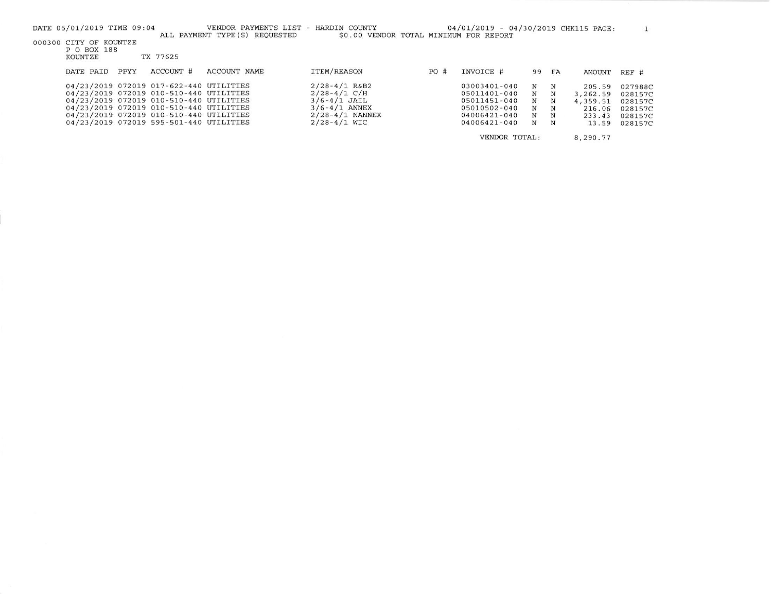| DATE 05/01/2019 TIME 09:04 |      |                                         | VENDOR PAYMENTS LIST<br>ALL PAYMENT TYPE (S) REQUESTED | - HARDIN COUNTY<br>\$0.00 VENDOR TOTAL MINIMUM FOR REPORT |     | 04/01/2019 - 04/30/2019 CHK115 PAGE: |    |    |               |         |
|----------------------------|------|-----------------------------------------|--------------------------------------------------------|-----------------------------------------------------------|-----|--------------------------------------|----|----|---------------|---------|
| 000300 CITY OF KOUNTZE     |      |                                         |                                                        |                                                           |     |                                      |    |    |               |         |
| P O BOX 188<br>KOUNTZE     |      | TX 77625                                |                                                        |                                                           |     |                                      |    |    |               |         |
|                            |      | ACCOUNT #                               | ACCOUNT NAME                                           | <b>ITEM/REASON</b>                                        |     |                                      |    |    |               |         |
| DATE PAID                  | PPYY |                                         |                                                        |                                                           | PO# | INVOICE #                            | 99 | FA | <b>AMOUNT</b> | $REF$ # |
|                            |      | 04/23/2019 072019 017-622-440 UTILITIES |                                                        | $2/28 - 4/1$ R&B2                                         |     | 03003401-040                         | N  | N  | 205.59        | 027988C |
|                            |      | 04/23/2019 072019 010-510-440 UTILITIES |                                                        | $2/28 - 4/1$ C/H                                          |     | 05011401-040                         | N  | N  | 3,262.59      | 028157C |
|                            |      | 04/23/2019 072019 010-510-440 UTILITIES |                                                        | $3/6 - 4/1$ JAIL                                          |     | 05011451-040                         | N  | N  | 4,359.51      | 028157C |
|                            |      | 04/23/2019 072019 010-510-440 UTILITIES |                                                        | $3/6 - 4/1$ ANNEX                                         |     | 05010502-040                         | N  | N  | 216.06        | 028157C |
|                            |      | 04/23/2019 072019 010-510-440 UTILITIES |                                                        | $2/28 - 4/1$ NANNEX                                       |     | 04006421-040                         | N  | N  | 233.43        | 028157C |
|                            |      | 04/23/2019 072019 595-501-440 UTILITIES |                                                        | $2/28 - 4/1$ WIC                                          |     | 04006421-040                         | N  | N  | 13.59         | 028157C |
|                            |      |                                         |                                                        |                                                           |     | VENDOR TOTAL:                        |    |    | 8,290.77      |         |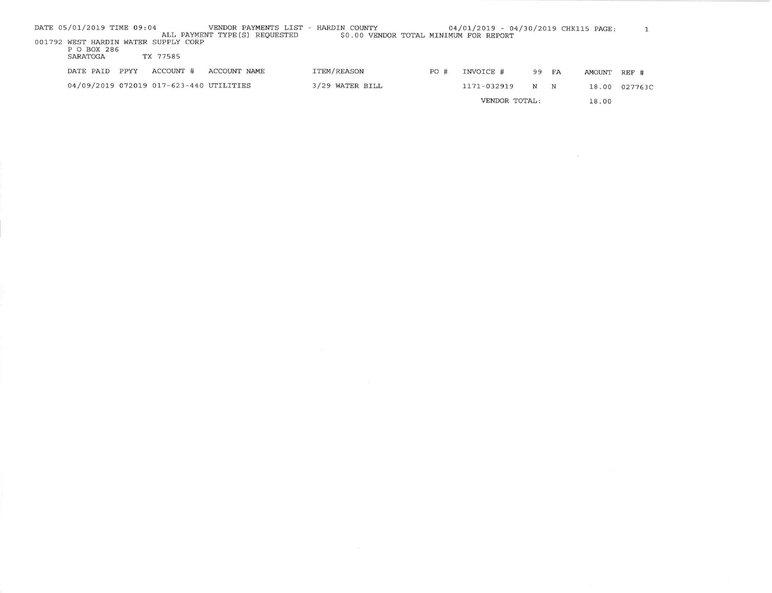| DATE 05/01/2019 TIME 09:04                          |      |           | VENDOR PAYMENTS LIST<br>ALL PAYMENT TYPE (S) REQUESTED | - HARDIN COUNTY<br>\$0.00 VENDOR TOTAL MINIMUM FOR REPORT |     | 04/01/2019 - 04/30/2019 CHK115 PAGE: |    |            |              |               |
|-----------------------------------------------------|------|-----------|--------------------------------------------------------|-----------------------------------------------------------|-----|--------------------------------------|----|------------|--------------|---------------|
| 001792 WEST HARDIN WATER SUPPLY CORP<br>P O BOX 286 |      |           |                                                        |                                                           |     |                                      |    |            |              |               |
| SARATOGA                                            |      | TX 77585  |                                                        |                                                           |     |                                      |    |            |              |               |
| DATE PAID                                           | PPYY | ACCOUNT # | ACCOUNT NAME                                           | ITEM/REASON                                               | PO# | INVOICE #                            | 99 | FA         | AMOUNT REF # |               |
| 04/09/2019 072019 017-623-440 UTILITIES             |      |           |                                                        | 3/29 WATER BILL                                           |     | 1171-032919                          | N  | $_{\rm N}$ |              | 18.00 027763C |
|                                                     |      |           |                                                        |                                                           |     | VENDOR TOTAL:                        |    |            | 18.00        |               |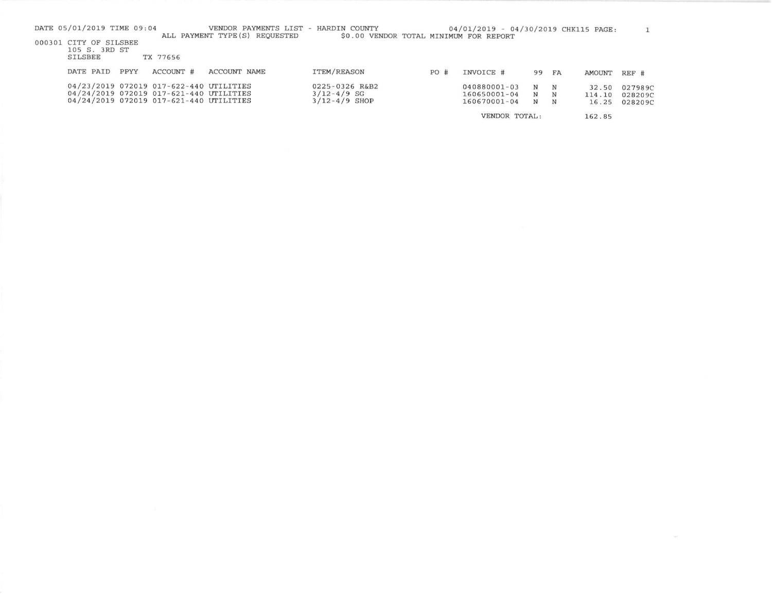| DATE 05/01/2019 TIME 09:04 |                                 |      |                                                                                    | VENDOR PAYMENTS LIST -<br>ALL PAYMENT TYPE (S) REOUESTED | HARDIN COUNTY<br>\$0.00 VENDOR TOTAL MINIMUM FOR REPORT |     | 04/01/2019 - 04/30/2019 CHK115 PAGE: |        |        |        |         |
|----------------------------|---------------------------------|------|------------------------------------------------------------------------------------|----------------------------------------------------------|---------------------------------------------------------|-----|--------------------------------------|--------|--------|--------|---------|
| 000301 CITY OF SILSBEE     |                                 |      |                                                                                    |                                                          |                                                         |     |                                      |        |        |        |         |
|                            | 105 S. 3RD ST<br><b>SILSBEE</b> |      | TX 77656                                                                           |                                                          |                                                         |     |                                      |        |        |        |         |
|                            | DATE PAID                       | PPYY | ACCOUNT #                                                                          | <b>ACCOUNT NAME</b>                                      | ITEM/REASON                                             | PO# | INVOICE #                            | 99     | FA     | AMOUNT | REF #   |
|                            |                                 |      | 04/23/2019 072019 017-622-440 UTILITIES                                            |                                                          | 0225-0326 R&B2                                          |     | 040880001-03                         | N      | N      | 32.50  | 027989C |
|                            |                                 |      | 04/24/2019 072019 017-621-440 UTILITIES<br>04/24/2019 072019 017-621-440 UTILITIES |                                                          | $3/12 - 4/9$ SG<br>$3/12 - 4/9$ SHOP                    |     | 160650001-04<br>160670001-04         | N<br>N | N<br>N | 114.10 | 028209C |
|                            |                                 |      |                                                                                    |                                                          |                                                         |     |                                      |        |        | 16.25  | 028209C |
|                            |                                 |      |                                                                                    |                                                          |                                                         |     | VENDOR TOTAL:                        |        |        | 162.85 |         |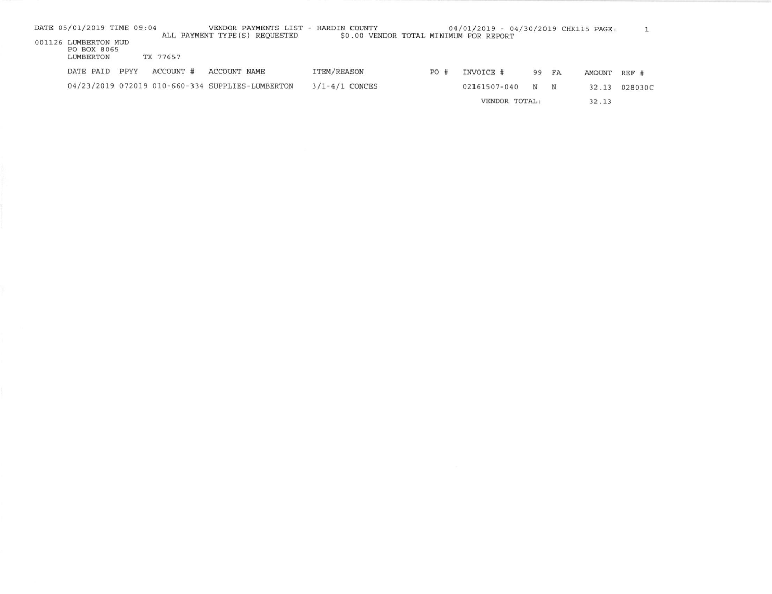| DATE PAID | PPYY      | ACCOUNT #                           | ACCOUNT NAME                           | <b>ITEM/REASON</b>                                                                 | PO#                                  | INVOICE #    |                                        |               | AMOUNT   | REF #                                |
|-----------|-----------|-------------------------------------|----------------------------------------|------------------------------------------------------------------------------------|--------------------------------------|--------------|----------------------------------------|---------------|----------|--------------------------------------|
|           |           |                                     |                                        | $3/1 - 4/1$ CONCES                                                                 |                                      | 02161507-040 | N                                      | N             | 32.13    | 028030C                              |
|           |           |                                     |                                        |                                                                                    |                                      |              |                                        |               | 32.13    |                                      |
|           | LUMBERTON | 001126 LUMBERTON MUD<br>PO BOX 8065 | DATE 05/01/2019 TIME 09:04<br>TX 77657 | ALL PAYMENT TYPE (S) REQUESTED<br>04/23/2019 072019 010-660-334 SUPPLIES-LUMBERTON | VENDOR PAYMENTS LIST - HARDIN COUNTY |              | \$0.00 VENDOR TOTAL MINIMUM FOR REPORT | VENDOR TOTAL: | 99<br>FA | 04/01/2019 - 04/30/2019 CHK115 PAGE: |